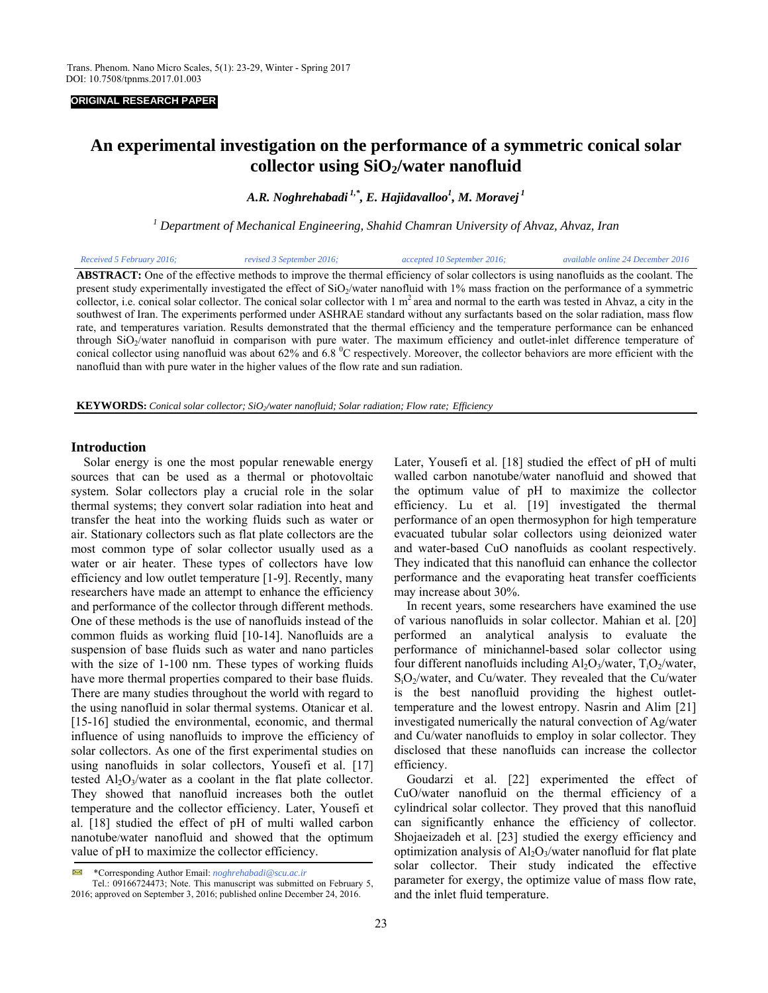#### **ORIGINAL RESEARCH PAPER**

# **An experimental investigation on the performance of a symmetric conical solar**  collector using SiO<sub>2</sub>/water nanofluid

*A.R. Noghrehabadi 1,\*, E. Hajidavalloo1 , M. Moravej 1* 

*1 Department of Mechanical Engineering, Shahid Chamran University of Ahvaz, Ahvaz, Iran*

| Received 5 February 2016; | revised 3 September 2016; | accepted 10 September 2016;                                                                                                                               | available online 24 December 2016 |
|---------------------------|---------------------------|-----------------------------------------------------------------------------------------------------------------------------------------------------------|-----------------------------------|
|                           |                           | <b>ABSTRACT:</b> One of the effective methods to improve the thermal efficiency of solar collectors is using nanofluids as the coolant. The               |                                   |
|                           |                           | present study experimentally investigated the effect of SiO <sub>2</sub> /water nanofluid with 1% mass fraction on the performance of a symmetric         |                                   |
|                           |                           | collector, i.e. conical solar collector. The conical solar collector with $1 \text{ m}^2$ area and normal to the earth was tested in Ahvaz, a city in the |                                   |
|                           |                           | couthwest of Iran. The experiments performed under ASHDAE standard without any surfactants based on the solar rediction, mass flow                        |                                   |

southwest of Iran. The experiments performed under ASHRAE standard without any surfactants based on the solar radiation, mass flow rate, and temperatures variation. Results demonstrated that the thermal efficiency and the temperature performance can be enhanced through SiO<sub>2</sub>/water nanofluid in comparison with pure water. The maximum efficiency and outlet-inlet difference temperature of conical collector using nanofluid was about 62% and 6.8  $\degree$ C respectively. Moreover, the collector behaviors are more efficient with the nanofluid than with pure water in the higher values of the flow rate and sun radiation.

**KEYWORDS:** *Conical solar collector; SiO2/water nanofluid; Solar radiation; Flow rate; Efficiency*

## **Introduction**

 Solar energy is one the most popular renewable energy sources that can be used as a thermal or photovoltaic system. Solar collectors play a crucial role in the solar thermal systems; they convert solar radiation into heat and transfer the heat into the working fluids such as water or air. Stationary collectors such as flat plate collectors are the most common type of solar collector usually used as a water or air heater. These types of collectors have low efficiency and low outlet temperature [1-9]. Recently, many researchers have made an attempt to enhance the efficiency and performance of the collector through different methods. One of these methods is the use of nanofluids instead of the common fluids as working fluid [10-14]. Nanofluids are a suspension of base fluids such as water and nano particles with the size of 1-100 nm. These types of working fluids have more thermal properties compared to their base fluids. There are many studies throughout the world with regard to the using nanofluid in solar thermal systems. Otanicar et al. [15-16] studied the environmental, economic, and thermal influence of using nanofluids to improve the efficiency of solar collectors. As one of the first experimental studies on using nanofluids in solar collectors, Yousefi et al. [17] tested Al<sub>2</sub>O<sub>3</sub>/water as a coolant in the flat plate collector. They showed that nanofluid increases both the outlet temperature and the collector efficiency. Later, Yousefi et al. [18] studied the effect of pH of multi walled carbon nanotube/water nanofluid and showed that the optimum value of pH to maximize the collector efficiency.

Later, Yousefi et al. [18] studied the effect of pH of multi walled carbon nanotube/water nanofluid and showed that the optimum value of pH to maximize the collector efficiency. Lu et al. [19] investigated the thermal performance of an open thermosyphon for high temperature evacuated tubular solar collectors using deionized water and water-based CuO nanofluids as coolant respectively. They indicated that this nanofluid can enhance the collector performance and the evaporating heat transfer coefficients may increase about 30%. In recent years, some researchers have examined the use

of various nanofluids in solar collector. Mahian et al. [20] performed an analytical analysis to evaluate the performance of minichannel-based solar collector using four different nanofluids including  $A\rightarrow O_3/water$ ,  $T\rightarrow O_2/water$ ,  $S<sub>i</sub>O<sub>2</sub>/water$ , and Cu/water. They revealed that the Cu/water is the best nanofluid providing the highest outlettemperature and the lowest entropy. Nasrin and Alim [21] investigated numerically the natural convection of Ag/water and Cu/water nanofluids to employ in solar collector. They disclosed that these nanofluids can increase the collector efficiency.

Goudarzi et al. [22] experimented the effect of CuO/water nanofluid on the thermal efficiency of a cylindrical solar collector. They proved that this nanofluid can significantly enhance the efficiency of collector. Shojaeizadeh et al. [23] studied the exergy efficiency and optimization analysis of  $Al_2O_3/water$  nanofluid for flat plate solar collector. Their study indicated the effective parameter for exergy, the optimize value of mass flow rate, and the inlet fluid temperature.

<sup>\*</sup>Corresponding Author Email: *noghrehabadi@scu.ac.ir* 

Tel.: 09166724473; Note. This manuscript was submitted on February 5, 2016; approved on September 3, 2016; published online December 24, 2016.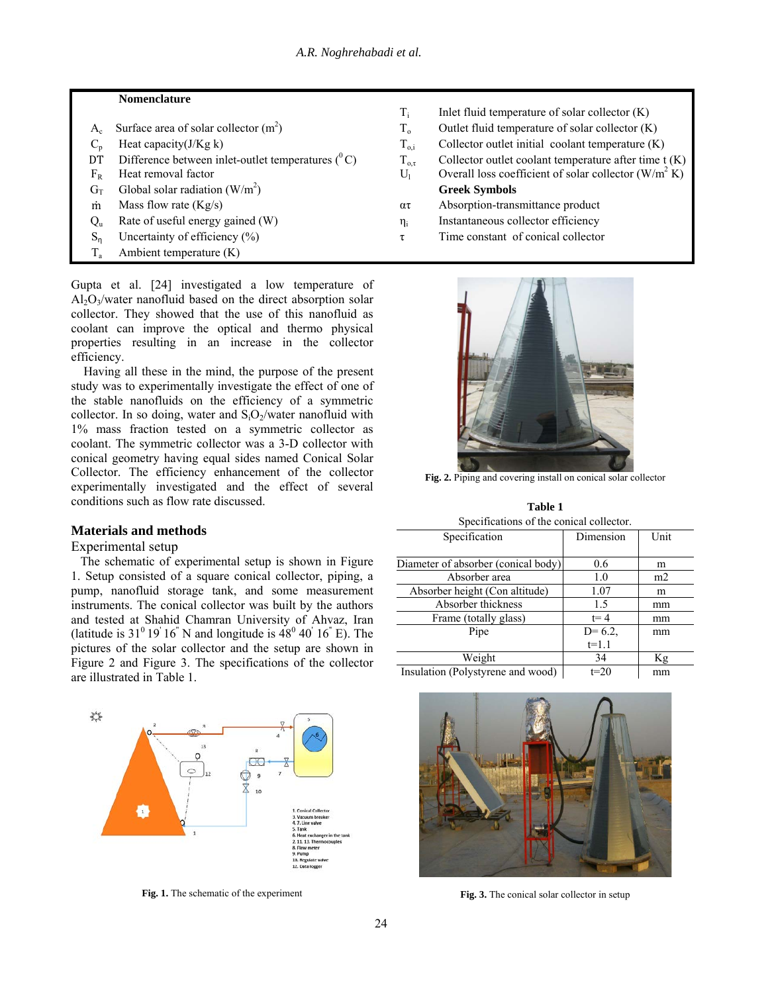## **Nomenclature**

 $T_i$  Inlet fluid temperature of solar collector  $(K)$  $A_c$  Surface area of solar collector  $(m^2)$  $T_0$  Outlet fluid temperature of solar collector  $(K)$  $C_p$  Heat capacity(J/Kg k)  $T_{o,i}$  Collector outlet initial coolant temperature (K) DT Difference between inlet-outlet temperatures (<sup>0</sup> C)  $T_{0,\tau}$  Collector outlet coolant temperature after time t (K)  $F_R$  Heat removal factor  $U_1$  Overall loss coefficient of solar collector (W/m<sup>2</sup> K)  $F_R$  Heat removal factor  $U_1$  Overall loss coefficient of solar collector  $(W/m^2 K)$  $G_T$  Global solar radiation (W/m<sup>2</sup>) ) **Greek Symbols** m Mass flow rate  $(Kg/s)$   $\alpha\tau$  Absorption-transmittance product  $Q_u$  Rate of useful energy gained (W)  $\eta_i$  Instantaneous collector efficiency  $S_n$  Uncertainty of efficiency (%)  $\tau$  Time constant of conical collector  $T_a$  Ambient temperature (K)

Gupta et al. [24] investigated a low temperature of  $Al_2O_3/water$  nanofluid based on the direct absorption solar collector. They showed that the use of this nanofluid as coolant can improve the optical and thermo physical properties resulting in an increase in the collector efficiency.

 Having all these in the mind, the purpose of the present study was to experimentally investigate the effect of one of the stable nanofluids on the efficiency of a symmetric collector. In so doing, water and  $S_iO_2$ /water nanofluid with 1% mass fraction tested on a symmetric collector as coolant. The symmetric collector was a 3-D collector with conical geometry having equal sides named Conical Solar Collector. The efficiency enhancement of the collector experimentally investigated and the effect of several conditions such as flow rate discussed.

# **Materials and methods**

# Experimental setup

The schematic of experimental setup is shown in Figure 1. Setup consisted of a square conical collector, piping, a pump, nanofluid storage tank, and some measurement instruments. The conical collector was built by the authors and tested at Shahid Chamran University of Ahvaz, Iran (latitude is  $31^{\circ}$  19' 16" N and longitude is  $48^{\circ}$  40' 16" E). The pictures of the solar collector and the setup are shown in Figure 2 and Figure 3. The specifications of the collector are illustrated in Table 1.



**Fig. 1.** The schematic of the experiment

**Fig. 2.** Piping and covering install on conical solar collector

**Table 1**  Specifications of the conical collector.

| Specification                       | Dimension | Unit |
|-------------------------------------|-----------|------|
|                                     |           |      |
| Diameter of absorber (conical body) | 0.6       | m    |
| Absorber area                       | 1.0       | m2   |
| Absorber height (Con altitude)      | 1.07      | m    |
| Absorber thickness                  | 1.5       | mm   |
| Frame (totally glass)               | $t = 4$   | mm   |
| Pipe                                | $D=6.2$ , | mm   |
|                                     | $t=1.1$   |      |
| Weight                              | 34        | Кg   |
| Insulation (Polystyrene and wood)   | $t=20$    | mm   |



**Fig. 3.** The conical solar collector in setup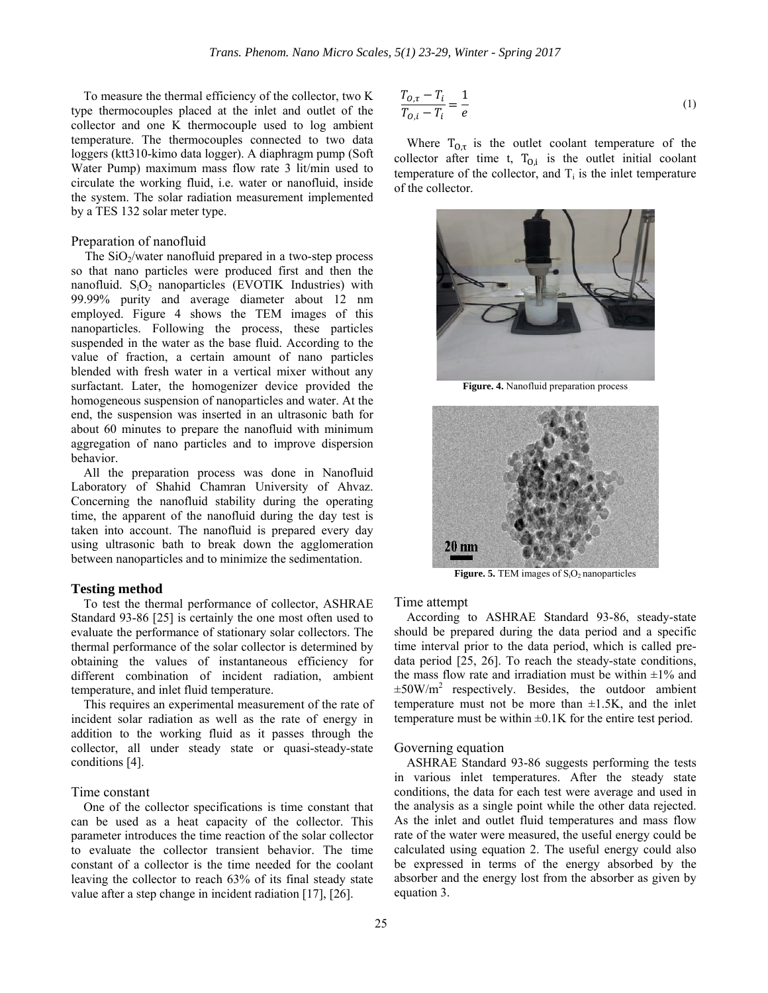To measure the thermal efficiency of the collector, two K type thermocouples placed at the inlet and outlet of the collector and one K thermocouple used to log ambient temperature. The thermocouples connected to two data loggers (ktt310-kimo data logger). A diaphragm pump (Soft Water Pump) maximum mass flow rate 3 lit/min used to circulate the working fluid, i.e. water or nanofluid, inside the system. The solar radiation measurement implemented by a TES 132 solar meter type.

## Preparation of nanofluid

The  $SiO<sub>2</sub>/water$  nanofluid prepared in a two-step process so that nano particles were produced first and then the nanofluid.  $S_iO_2$  nanoparticles (EVOTIK Industries) with 99.99% purity and average diameter about 12 nm employed. Figure 4 shows the TEM images of this nanoparticles. Following the process, these particles suspended in the water as the base fluid. According to the value of fraction, a certain amount of nano particles blended with fresh water in a vertical mixer without any surfactant. Later, the homogenizer device provided the homogeneous suspension of nanoparticles and water. At the end, the suspension was inserted in an ultrasonic bath for about 60 minutes to prepare the nanofluid with minimum aggregation of nano particles and to improve dispersion behavior.

 All the preparation process was done in Nanofluid Laboratory of Shahid Chamran University of Ahvaz. Concerning the nanofluid stability during the operating time, the apparent of the nanofluid during the day test is taken into account. The nanofluid is prepared every day using ultrasonic bath to break down the agglomeration between nanoparticles and to minimize the sedimentation.

#### **Testing method**

 To test the thermal performance of collector, ASHRAE Standard 93-86 [25] is certainly the one most often used to evaluate the performance of stationary solar collectors. The thermal performance of the solar collector is determined by obtaining the values of instantaneous efficiency for different combination of incident radiation, ambient temperature, and inlet fluid temperature.

 This requires an experimental measurement of the rate of incident solar radiation as well as the rate of energy in addition to the working fluid as it passes through the collector, all under steady state or quasi-steady-state conditions [4].

# Time constant

 One of the collector specifications is time constant that can be used as a heat capacity of the collector. This parameter introduces the time reaction of the solar collector to evaluate the collector transient behavior. The time constant of a collector is the time needed for the coolant leaving the collector to reach 63% of its final steady state value after a step change in incident radiation [17], [26].

$$
\frac{T_{O,\tau} - T_i}{T_{O,i} - T_i} = \frac{1}{e}
$$
\n<sup>(1)</sup>

Where  $T_{O,\tau}$  is the outlet coolant temperature of the collector after time t,  $T_{0,i}$  is the outlet initial coolant temperature of the collector, and  $T_i$  is the inlet temperature of the collector.



**Figure. 4.** Nanofluid preparation process



Figure. 5. TEM images of S<sub>i</sub>O<sub>2</sub> nanoparticles

## Time attempt

 According to ASHRAE Standard 93-86, steady-state should be prepared during the data period and a specific time interval prior to the data period, which is called predata period [25, 26]. To reach the steady-state conditions, the mass flow rate and irradiation must be within  $\pm 1\%$  and  $\pm 50$ W/m<sup>2</sup> respectively. Besides, the outdoor ambient temperature must not be more than  $\pm 1.5$ K, and the inlet temperature must be within  $\pm 0.1$ K for the entire test period.

#### Governing equation

 ASHRAE Standard 93-86 suggests performing the tests in various inlet temperatures. After the steady state conditions, the data for each test were average and used in the analysis as a single point while the other data rejected. As the inlet and outlet fluid temperatures and mass flow rate of the water were measured, the useful energy could be calculated using equation 2. The useful energy could also be expressed in terms of the energy absorbed by the absorber and the energy lost from the absorber as given by equation 3.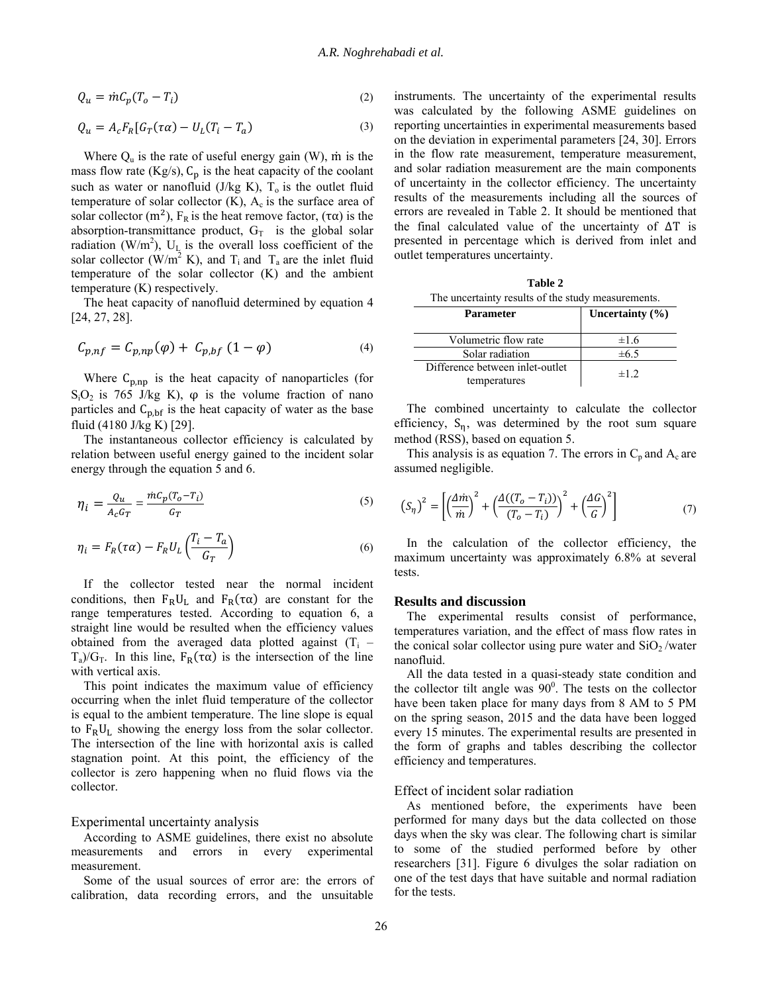$$
Q_u = \dot{m}C_p(T_o - T_i) \tag{2}
$$

$$
Q_u = A_c F_R [G_T(\tau \alpha) - U_L (T_i - T_a) \tag{3}
$$

Where  $Q_u$  is the rate of useful energy gain (W), m is the mass flow rate (Kg/s),  $C_p$  is the heat capacity of the coolant such as water or nanofluid (J/kg K),  $T<sub>o</sub>$  is the outlet fluid temperature of solar collector  $(K)$ ,  $A_c$  is the surface area of solar collector (m<sup>2</sup>),  $F_R$  is the heat remove factor, (τα) is the absorption-transmittance product,  $G_T$  is the global solar radiation (W/m<sup>2</sup>),  $U_L$  is the overall loss coefficient of the solar collector (W/m<sup>2</sup> K), and  $T_i$  and  $T_a$  are the inlet fluid temperature of the solar collector (K) and the ambient temperature (K) respectively.

 The heat capacity of nanofluid determined by equation 4 [24, 27, 28].

$$
C_{p,nf} = C_{p,np}(\varphi) + C_{p,bf} (1 - \varphi) \tag{4}
$$

Where  $C_{p, np}$  is the heat capacity of nanoparticles (for  $S<sub>i</sub>O<sub>2</sub>$  is 765 J/kg K),  $\varphi$  is the volume fraction of nano particles and  $C_{p,bf}$  is the heat capacity of water as the base fluid (4180 J/kg K) [29].

 The instantaneous collector efficiency is calculated by relation between useful energy gained to the incident solar energy through the equation 5 and 6.

$$
\eta_i = \frac{Q_u}{A_c G_T} = \frac{\dot{m} C_p (T_o - T_i)}{G_T} \tag{5}
$$

$$
\eta_i = F_R(\tau \alpha) - F_R U_L \left( \frac{T_i - T_a}{G_T} \right) \tag{6}
$$

 If the collector tested near the normal incident conditions, then  $F_R U_L$  and  $F_R(\tau \alpha)$  are constant for the range temperatures tested. According to equation 6, a straight line would be resulted when the efficiency values obtained from the averaged data plotted against  $(T<sub>i</sub> T_a/G_T$ . In this line,  $F_R(\tau\alpha)$  is the intersection of the line with vertical axis.

 This point indicates the maximum value of efficiency occurring when the inlet fluid temperature of the collector is equal to the ambient temperature. The line slope is equal to  $F_R U_L$  showing the energy loss from the solar collector. The intersection of the line with horizontal axis is called stagnation point. At this point, the efficiency of the collector is zero happening when no fluid flows via the collector.

Experimental uncertainty analysis

 According to ASME guidelines, there exist no absolute measurements and errors in every experimental measurement.

 Some of the usual sources of error are: the errors of calibration, data recording errors, and the unsuitable

instruments. The uncertainty of the experimental results was calculated by the following ASME guidelines on reporting uncertainties in experimental measurements based on the deviation in experimental parameters [24, 30]. Errors in the flow rate measurement, temperature measurement, and solar radiation measurement are the main components of uncertainty in the collector efficiency. The uncertainty results of the measurements including all the sources of errors are revealed in Table 2. It should be mentioned that the final calculated value of the uncertainty of ∆T is presented in percentage which is derived from inlet and outlet temperatures uncertainty.

| Table 2                                            |
|----------------------------------------------------|
| The uncertainty results of the study measurements. |

| Parameter                       | Uncertainty $(\% )$ |  |
|---------------------------------|---------------------|--|
| Volumetric flow rate            | $\pm 1.6$           |  |
| Solar radiation                 | ±6.5                |  |
| Difference between inlet-outlet | $\pm 1$ 2           |  |
| temperatures                    |                     |  |

 The combined uncertainty to calculate the collector efficiency,  $S_n$ , was determined by the root sum square method (RSS), based on equation 5.

This analysis is as equation 7. The errors in  $C_p$  and  $A_c$  are assumed negligible.

$$
\left(S_{\eta}\right)^{2} = \left[\left(\frac{\Delta m}{m}\right)^{2} + \left(\frac{\Delta((T_{o} - T_{i}))}{(T_{o} - T_{i})}\right)^{2} + \left(\frac{\Delta G}{G}\right)^{2}\right] \tag{7}
$$

 In the calculation of the collector efficiency, the maximum uncertainty was approximately 6.8% at several tests.

## **Results and discussion**

 The experimental results consist of performance, temperatures variation, and the effect of mass flow rates in the conical solar collector using pure water and  $SiO<sub>2</sub>$ /water nanofluid.

 All the data tested in a quasi-steady state condition and the collector tilt angle was  $90^\circ$ . The tests on the collector have been taken place for many days from 8 AM to 5 PM on the spring season, 2015 and the data have been logged every 15 minutes. The experimental results are presented in the form of graphs and tables describing the collector efficiency and temperatures.

#### Effect of incident solar radiation

 As mentioned before, the experiments have been performed for many days but the data collected on those days when the sky was clear. The following chart is similar to some of the studied performed before by other researchers [31]. Figure 6 divulges the solar radiation on one of the test days that have suitable and normal radiation for the tests.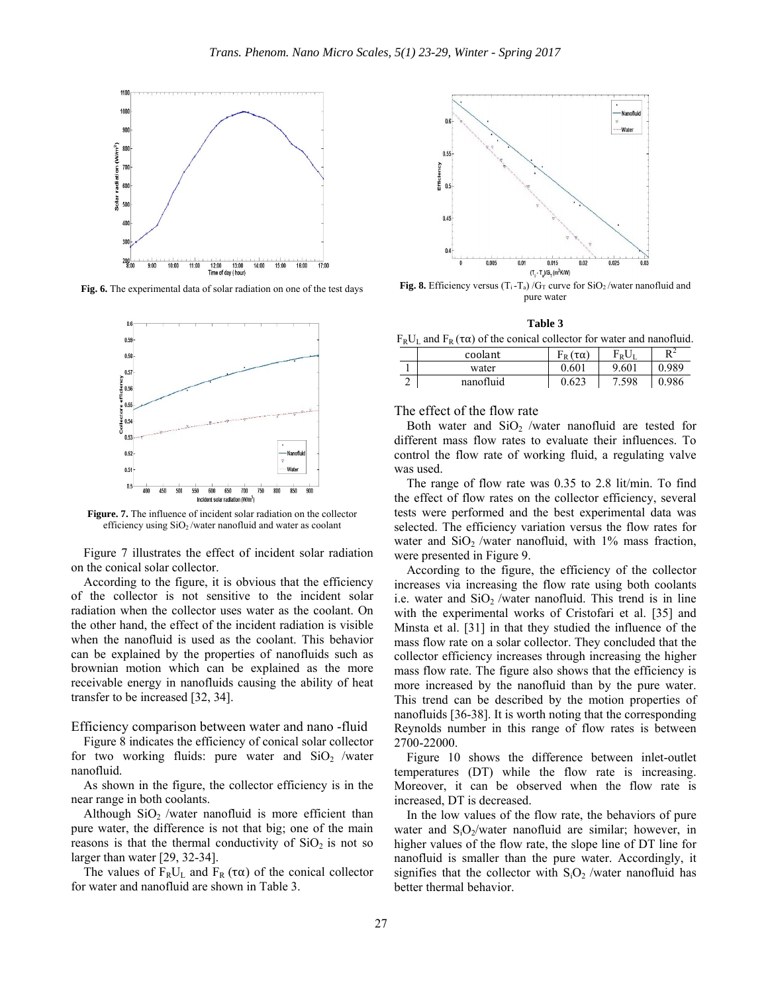

**Fig. 6.** The experimental data of solar radiation on one of the test days



**Figure. 7.** The influence of incident solar radiation on the collector efficiency using SiO2 /water nanofluid and water as coolant

 Figure 7 illustrates the effect of incident solar radiation on the conical solar collector.

 According to the figure, it is obvious that the efficiency of the collector is not sensitive to the incident solar radiation when the collector uses water as the coolant. On the other hand, the effect of the incident radiation is visible when the nanofluid is used as the coolant. This behavior can be explained by the properties of nanofluids such as brownian motion which can be explained as the more receivable energy in nanofluids causing the ability of heat transfer to be increased [32, 34].

Efficiency comparison between water and nano -fluid

 Figure 8 indicates the efficiency of conical solar collector for two working fluids: pure water and  $SiO<sub>2</sub>$  /water nanofluid.

 As shown in the figure, the collector efficiency is in the near range in both coolants.

Although  $SiO<sub>2</sub>$  /water nanofluid is more efficient than pure water, the difference is not that big; one of the main reasons is that the thermal conductivity of  $SiO<sub>2</sub>$  is not so larger than water [29, 32-34].

The values of  $F_R U_L$  and  $F_R(\tau \alpha)$  of the conical collector for water and nanofluid are shown in Table 3.



**Fig. 8.** Efficiency versus  $(T_i - T_a)/G_T$  curve for SiO<sub>2</sub>/water nanofluid and pure water

| וחו<br>к<br>n |
|---------------|
|---------------|

 $F_R U_L$  and  $F_R(\tau \alpha)$  of the conical collector for water and nanofluid.

| coolant   | $F_R(\tau\alpha)$ | $F_\text{\tiny R} U_\text{\tiny I}$ | DΖ    |
|-----------|-------------------|-------------------------------------|-------|
| water     | 0.601             | 9.601                               | 0.989 |
| nanofluid | 0.623             | 7.598                               | 0.986 |

The effect of the flow rate

Both water and  $SiO<sub>2</sub>$  /water nanofluid are tested for different mass flow rates to evaluate their influences. To control the flow rate of working fluid, a regulating valve was used.

 The range of flow rate was 0.35 to 2.8 lit/min. To find the effect of flow rates on the collector efficiency, several tests were performed and the best experimental data was selected. The efficiency variation versus the flow rates for water and  $SiO<sub>2</sub>$  /water nanofluid, with 1% mass fraction, were presented in Figure 9.

 According to the figure, the efficiency of the collector increases via increasing the flow rate using both coolants i.e. water and  $SiO<sub>2</sub>$  /water nanofluid. This trend is in line with the experimental works of Cristofari et al. [35] and Minsta et al. [31] in that they studied the influence of the mass flow rate on a solar collector. They concluded that the collector efficiency increases through increasing the higher mass flow rate. The figure also shows that the efficiency is more increased by the nanofluid than by the pure water. This trend can be described by the motion properties of nanofluids [36-38]. It is worth noting that the corresponding Reynolds number in this range of flow rates is between 2700-22000.

 Figure 10 shows the difference between inlet-outlet temperatures (DT) while the flow rate is increasing. Moreover, it can be observed when the flow rate is increased, DT is decreased.

 In the low values of the flow rate, the behaviors of pure water and  $S_1O_2/water$  nanofluid are similar; however, in higher values of the flow rate, the slope line of DT line for nanofluid is smaller than the pure water. Accordingly, it signifies that the collector with  $S_iO_2$ /water nanofluid has better thermal behavior.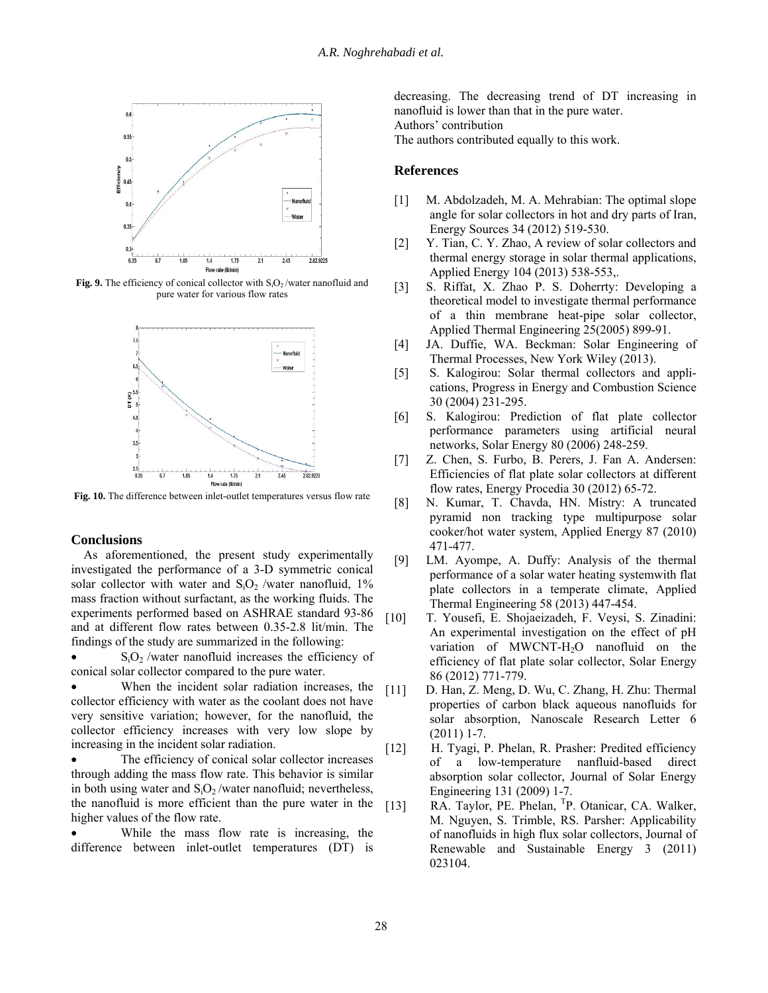

Fig. 9. The efficiency of conical collector with S<sub>i</sub>O<sub>2</sub>/water nanofluid and pure water for various flow rates



**Fig. 10.** The difference between inlet-outlet temperatures versus flow rate

## **Conclusions**

 As aforementioned, the present study experimentally investigated the performance of a 3-D symmetric conical solar collector with water and  $S_iO_2$  /water nanofluid, 1% mass fraction without surfactant, as the working fluids. The experiments performed based on ASHRAE standard 93-86 and at different flow rates between 0.35-2.8 lit/min. The findings of the study are summarized in the following:

 $\bullet$  S<sub>i</sub>O<sub>2</sub> /water nanofluid increases the efficiency of conical solar collector compared to the pure water.

 When the incident solar radiation increases, the collector efficiency with water as the coolant does not have very sensitive variation; however, for the nanofluid, the collector efficiency increases with very low slope by increasing in the incident solar radiation.

 The efficiency of conical solar collector increases through adding the mass flow rate. This behavior is similar in both using water and  $S_iO_2/water$  nanofluid; nevertheless, the nanofluid is more efficient than the pure water in the higher values of the flow rate.

 While the mass flow rate is increasing, the difference between inlet-outlet temperatures (DT) is decreasing. The decreasing trend of DT increasing in nanofluid is lower than that in the pure water. Authors' contribution The authors contributed equally to this work.

## **References**

- [1] M. Abdolzadeh, M. A. Mehrabian: The optimal slope angle for solar collectors in hot and dry parts of Iran, Energy Sources 34 (2012) 519-530.
- [2] Y. Tian, C. Y. Zhao, A review of solar collectors and thermal energy storage in solar thermal applications, Applied Energy 104 (2013) 538-553,.
- [3] S. Riffat, X. Zhao P. S. Doherrty: Developing a theoretical model to investigate thermal performance of a thin membrane heat-pipe solar collector, Applied Thermal Engineering 25(2005) 899-91.
- [4] JA. Duffie, WA. Beckman: Solar Engineering of Thermal Processes, New York Wiley (2013).
- [5] S. Kalogirou: Solar thermal collectors and applications, Progress in Energy and Combustion Science 30 (2004) 231-295.
- [6] S. Kalogirou: Prediction of flat plate collector performance parameters using artificial neural networks, Solar Energy 80 (2006) 248-259.
- [7] Z. Chen, S. Furbo, B. Perers, J. Fan A. Andersen: Efficiencies of flat plate solar collectors at different flow rates, Energy Procedia 30 (2012) 65-72. [8] N. Kumar, T. Chavda, HN. Mistry: A truncated
- pyramid non tracking type multipurpose solar cooker/hot water system, Applied Energy 87 (2010) 471-477.
- [9] LM. Ayompe, A. Duffy: Analysis of the thermal performance of a solar water heating systemwith flat plate collectors in a temperate climate, Applied Thermal Engineering 58 (2013) 447-454.
- [10] T. Yousefi, E. Shojaeizadeh, F. Veysi, S. Zinadini: An experimental investigation on the effect of pH variation of MWCNT-H2O nanofluid on the efficiency of flat plate solar collector, Solar Energy 86 (2012) 771-779.
- [11] D. Han, Z. Meng, D. Wu, C. Zhang, H. Zhu: Thermal properties of carbon black aqueous nanofluids for solar absorption, Nanoscale Research Letter 6 (2011) 1-7.
- [12] H. Tyagi, P. Phelan, R. Prasher: Predited efficiency of a low-temperature nanfluid-based direct absorption solar collector, Journal of Solar Energy Engineering 131 (2009) 1-7.
- [13] RA. Taylor, PE. Phelan, <sup>T</sup>P. Otanicar, CA. Walker, M. Nguyen, S. Trimble, RS. Parsher: Applicability of nanofluids in high flux solar collectors, Journal of Renewable and Sustainable Energy 3 (2011) 023104.